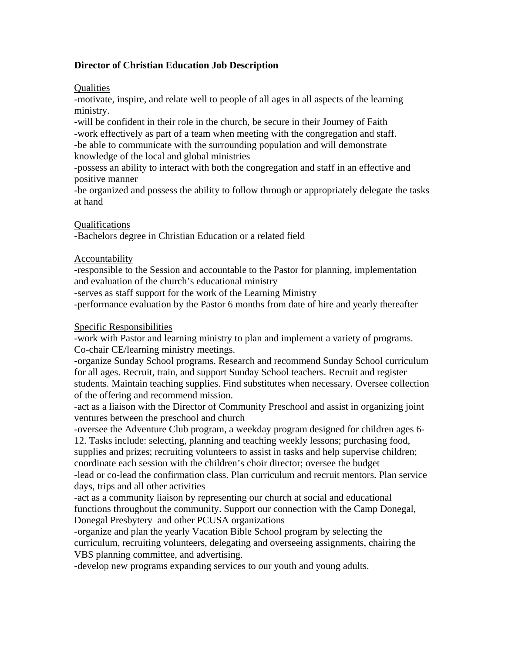# **Director of Christian Education Job Description**

## Qualities

-motivate, inspire, and relate well to people of all ages in all aspects of the learning ministry.

-will be confident in their role in the church, be secure in their Journey of Faith -work effectively as part of a team when meeting with the congregation and staff. -be able to communicate with the surrounding population and will demonstrate knowledge of the local and global ministries

-possess an ability to interact with both the congregation and staff in an effective and positive manner

-be organized and possess the ability to follow through or appropriately delegate the tasks at hand

### Qualifications

-Bachelors degree in Christian Education or a related field

### Accountability

-responsible to the Session and accountable to the Pastor for planning, implementation and evaluation of the church's educational ministry

-serves as staff support for the work of the Learning Ministry

-performance evaluation by the Pastor 6 months from date of hire and yearly thereafter

#### Specific Responsibilities

-work with Pastor and learning ministry to plan and implement a variety of programs. Co-chair CE/learning ministry meetings.

-organize Sunday School programs. Research and recommend Sunday School curriculum for all ages. Recruit, train, and support Sunday School teachers. Recruit and register students. Maintain teaching supplies. Find substitutes when necessary. Oversee collection of the offering and recommend mission.

-act as a liaison with the Director of Community Preschool and assist in organizing joint ventures between the preschool and church

-oversee the Adventure Club program, a weekday program designed for children ages 6- 12. Tasks include: selecting, planning and teaching weekly lessons; purchasing food, supplies and prizes; recruiting volunteers to assist in tasks and help supervise children;

coordinate each session with the children's choir director; oversee the budget

-lead or co-lead the confirmation class. Plan curriculum and recruit mentors. Plan service days, trips and all other activities

-act as a community liaison by representing our church at social and educational functions throughout the community. Support our connection with the Camp Donegal, Donegal Presbytery and other PCUSA organizations

-organize and plan the yearly Vacation Bible School program by selecting the curriculum, recruiting volunteers, delegating and overseeing assignments, chairing the VBS planning committee, and advertising.

-develop new programs expanding services to our youth and young adults.